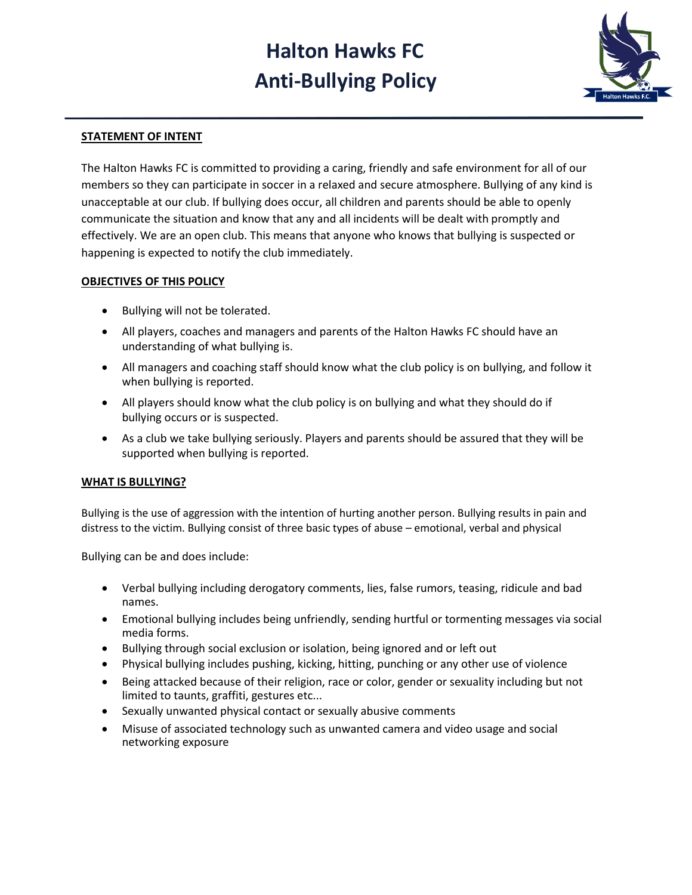# **Halton Hawks FC Anti-Bullying Policy**



## **STATEMENT OF INTENT**

The Halton Hawks FC is committed to providing a caring, friendly and safe environment for all of our members so they can participate in soccer in a relaxed and secure atmosphere. Bullying of any kind is unacceptable at our club. If bullying does occur, all children and parents should be able to openly communicate the situation and know that any and all incidents will be dealt with promptly and effectively. We are an open club. This means that anyone who knows that bullying is suspected or happening is expected to notify the club immediately.

#### **OBJECTIVES OF THIS POLICY**

- Bullying will not be tolerated.
- All players, coaches and managers and parents of the Halton Hawks FC should have an understanding of what bullying is.
- All managers and coaching staff should know what the club policy is on bullying, and follow it when bullying is reported.
- All players should know what the club policy is on bullying and what they should do if bullying occurs or is suspected.
- As a club we take bullying seriously. Players and parents should be assured that they will be supported when bullying is reported.

### **WHAT IS BULLYING?**

Bullying is the use of aggression with the intention of hurting another person. Bullying results in pain and distress to the victim. Bullying consist of three basic types of abuse – emotional, verbal and physical

Bullying can be and does include:

- Verbal bullying including derogatory comments, lies, false rumors, teasing, ridicule and bad names.
- Emotional bullying includes being unfriendly, sending hurtful or tormenting messages via social media forms.
- Bullying through social exclusion or isolation, being ignored and or left out
- Physical bullying includes pushing, kicking, hitting, punching or any other use of violence
- Being attacked because of their religion, race or color, gender or sexuality including but not limited to taunts, graffiti, gestures etc...
- Sexually unwanted physical contact or sexually abusive comments
- Misuse of associated technology such as unwanted camera and video usage and social networking exposure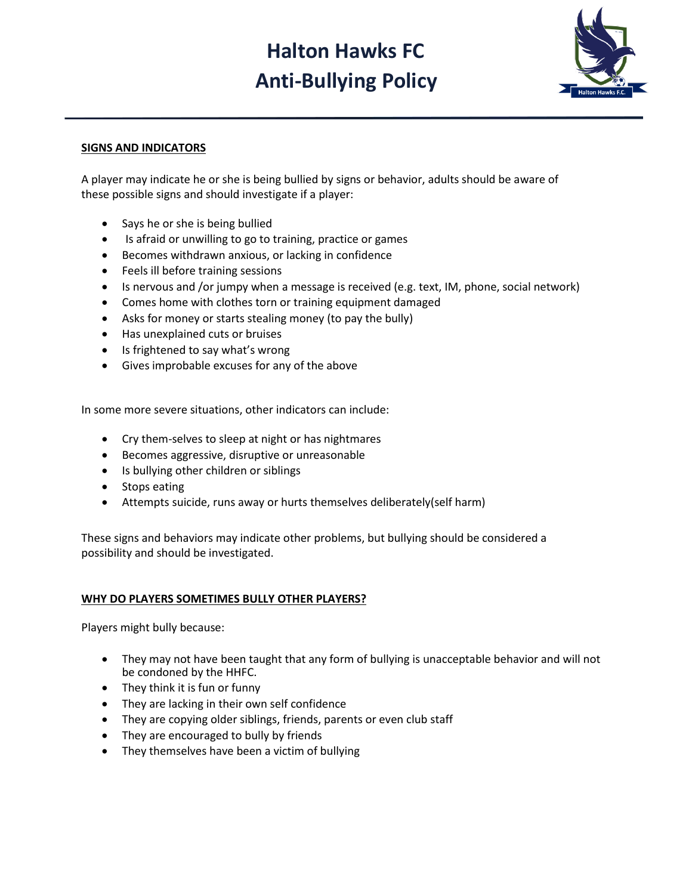# **Halton Hawks FC Anti-Bullying Policy**



### **SIGNS AND INDICATORS**

A player may indicate he or she is being bullied by signs or behavior, adults should be aware of these possible signs and should investigate if a player:

- Says he or she is being bullied
- Is afraid or unwilling to go to training, practice or games
- Becomes withdrawn anxious, or lacking in confidence
- Feels ill before training sessions
- Is nervous and /or jumpy when a message is received (e.g. text, IM, phone, social network)
- Comes home with clothes torn or training equipment damaged
- Asks for money or starts stealing money (to pay the bully)
- Has unexplained cuts or bruises
- Is frightened to say what's wrong
- Gives improbable excuses for any of the above

In some more severe situations, other indicators can include:

- Cry them-selves to sleep at night or has nightmares
- Becomes aggressive, disruptive or unreasonable
- Is bullying other children or siblings
- Stops eating
- Attempts suicide, runs away or hurts themselves deliberately(self harm)

These signs and behaviors may indicate other problems, but bullying should be considered a possibility and should be investigated.

#### **WHY DO PLAYERS SOMETIMES BULLY OTHER PLAYERS?**

Players might bully because:

- They may not have been taught that any form of bullying is unacceptable behavior and will not be condoned by the HHFC.
- They think it is fun or funny
- They are lacking in their own self confidence
- They are copying older siblings, friends, parents or even club staff
- They are encouraged to bully by friends
- They themselves have been a victim of bullying